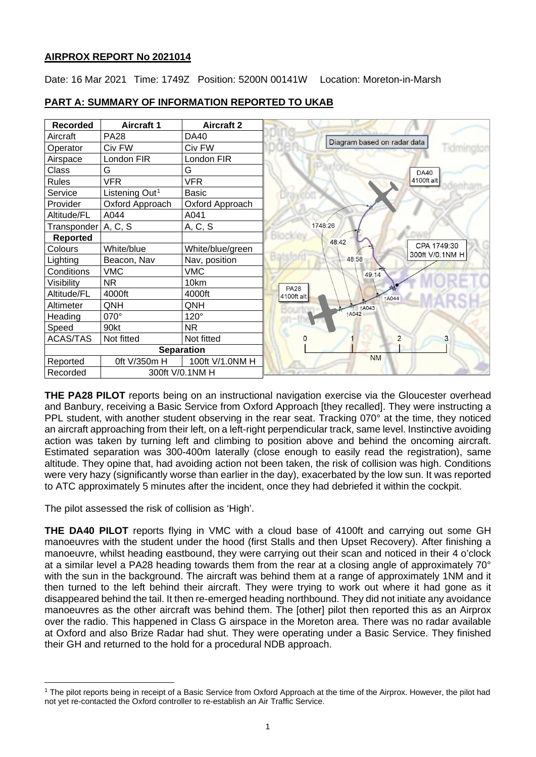# **AIRPROX REPORT No 2021014**

Date: 16 Mar 2021 Time: 1749Z Position: 5200N 00141W Location: Moreton-in-Marsh

| <b>Recorded</b>       | <b>Aircraft 1</b>          | <b>Aircraft 2</b> |                                |
|-----------------------|----------------------------|-------------------|--------------------------------|
| Aircraft              | <b>PA28</b>                | DA40              | Diagram based on radar data    |
| Operator              | Civ FW                     | Civ FW            | Tidming                        |
| Airspace              | London FIR                 | London FIR        |                                |
| Class                 | G                          | G                 | <b>DA40</b>                    |
| <b>Rules</b>          | <b>VFR</b>                 | <b>VFR</b>        | 4100ft alt                     |
| Service               | Listening Out <sup>1</sup> | Basic             |                                |
| Provider              | Oxford Approach            | Oxford Approach   |                                |
| Altitude/FL           | A044                       | A041              |                                |
| Transponder   A, C, S |                            | A, C, S           | 1748:26                        |
| <b>Reported</b>       |                            |                   | 48:42                          |
| Colours               | White/blue                 | White/blue/green  | CPA 1749:30<br>300ft V/0.1NM H |
| Lighting              | Beacon, Nav                | Nav, position     | 48:58                          |
| Conditions            | <b>VMC</b>                 | VMC               | 49:14                          |
| Visibility            | <b>NR</b>                  | 10km              | <b>PA28</b>                    |
| Altitude/FL           | 4000ft                     | 4000ft            | 4100ft alt<br>1A044            |
| Altimeter             | QNH                        | QNH               | <b>1A043</b>                   |
| Heading               | 070°                       | 120°              | <b>1A042</b>                   |
| Speed                 | 90kt                       | <b>NR</b>         |                                |
| <b>ACAS/TAS</b>       | Not fitted                 | Not fitted        | 2<br>3                         |
| <b>Separation</b>     |                            |                   |                                |
| Reported              | 0ft V/350m H               | 100ft V/1.0NM H   | <b>NM</b>                      |
| Recorded              |                            | 300ft V/0.1NM H   |                                |

# **PART A: SUMMARY OF INFORMATION REPORTED TO UKAB**

**THE PA28 PILOT** reports being on an instructional navigation exercise via the Gloucester overhead and Banbury, receiving a Basic Service from Oxford Approach [they recalled]. They were instructing a PPL student, with another student observing in the rear seat. Tracking 070° at the time, they noticed an aircraft approaching from their left, on a left-right perpendicular track, same level. Instinctive avoiding action was taken by turning left and climbing to position above and behind the oncoming aircraft. Estimated separation was 300-400m laterally (close enough to easily read the registration), same altitude. They opine that, had avoiding action not been taken, the risk of collision was high. Conditions were very hazy (significantly worse than earlier in the day), exacerbated by the low sun. It was reported to ATC approximately 5 minutes after the incident, once they had debriefed it within the cockpit.

The pilot assessed the risk of collision as 'High'.

**THE DA40 PILOT** reports flying in VMC with a cloud base of 4100ft and carrying out some GH manoeuvres with the student under the hood (first Stalls and then Upset Recovery). After finishing a manoeuvre, whilst heading eastbound, they were carrying out their scan and noticed in their 4 o'clock at a similar level a PA28 heading towards them from the rear at a closing angle of approximately 70° with the sun in the background. The aircraft was behind them at a range of approximately 1NM and it then turned to the left behind their aircraft. They were trying to work out where it had gone as it disappeared behind the tail. It then re-emerged heading northbound. They did not initiate any avoidance manoeuvres as the other aircraft was behind them. The [other] pilot then reported this as an Airprox over the radio. This happened in Class G airspace in the Moreton area. There was no radar available at Oxford and also Brize Radar had shut. They were operating under a Basic Service. They finished their GH and returned to the hold for a procedural NDB approach.

<span id="page-0-0"></span><sup>1</sup> The pilot reports being in receipt of a Basic Service from Oxford Approach at the time of the Airprox. However, the pilot had not yet re-contacted the Oxford controller to re-establish an Air Traffic Service.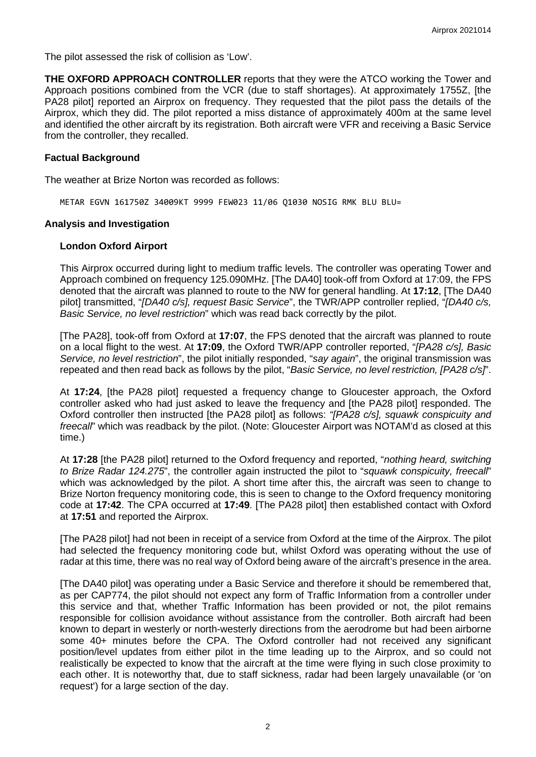The pilot assessed the risk of collision as 'Low'.

**THE OXFORD APPROACH CONTROLLER** reports that they were the ATCO working the Tower and Approach positions combined from the VCR (due to staff shortages). At approximately 1755Z, [the PA28 pilot] reported an Airprox on frequency. They requested that the pilot pass the details of the Airprox, which they did. The pilot reported a miss distance of approximately 400m at the same level and identified the other aircraft by its registration. Both aircraft were VFR and receiving a Basic Service from the controller, they recalled.

#### **Factual Background**

The weather at Brize Norton was recorded as follows:

METAR EGVN 161750Z 34009KT 9999 FEW023 11/06 Q1030 NOSIG RMK BLU BLU=

#### **Analysis and Investigation**

## **London Oxford Airport**

This Airprox occurred during light to medium traffic levels. The controller was operating Tower and Approach combined on frequency 125.090MHz. [The DA40] took-off from Oxford at 17:09, the FPS denoted that the aircraft was planned to route to the NW for general handling. At **17:12**, [The DA40 pilot] transmitted, "*[DA40 c/s], request Basic Service*", the TWR/APP controller replied, "*[DA40 c/s, Basic Service, no level restriction*" which was read back correctly by the pilot.

[The PA28], took-off from Oxford at **17:07**, the FPS denoted that the aircraft was planned to route on a local flight to the west. At **17:09**, the Oxford TWR/APP controller reported, "*[PA28 c/s], Basic Service, no level restriction*", the pilot initially responded, "*say again*", the original transmission was repeated and then read back as follows by the pilot, "*Basic Service, no level restriction, [PA28 c/s]*".

At **17:24**, [the PA28 pilot] requested a frequency change to Gloucester approach, the Oxford controller asked who had just asked to leave the frequency and [the PA28 pilot] responded. The Oxford controller then instructed [the PA28 pilot] as follows: *"[PA28 c/s], squawk conspicuity and freecall*" which was readback by the pilot. (Note: Gloucester Airport was NOTAM'd as closed at this time.)

At **17:28** [the PA28 pilot] returned to the Oxford frequency and reported, "*nothing heard, switching to Brize Radar 124.275*", the controller again instructed the pilot to "*squawk conspicuity, freecall*" which was acknowledged by the pilot. A short time after this, the aircraft was seen to change to Brize Norton frequency monitoring code, this is seen to change to the Oxford frequency monitoring code at **17:42**. The CPA occurred at **17:49**. [The PA28 pilot] then established contact with Oxford at **17:51** and reported the Airprox.

[The PA28 pilot] had not been in receipt of a service from Oxford at the time of the Airprox. The pilot had selected the frequency monitoring code but, whilst Oxford was operating without the use of radar at this time, there was no real way of Oxford being aware of the aircraft's presence in the area.

[The DA40 pilot] was operating under a Basic Service and therefore it should be remembered that, as per CAP774, the pilot should not expect any form of Traffic Information from a controller under this service and that, whether Traffic Information has been provided or not, the pilot remains responsible for collision avoidance without assistance from the controller. Both aircraft had been known to depart in westerly or north-westerly directions from the aerodrome but had been airborne some 40+ minutes before the CPA. The Oxford controller had not received any significant position/level updates from either pilot in the time leading up to the Airprox, and so could not realistically be expected to know that the aircraft at the time were flying in such close proximity to each other. It is noteworthy that, due to staff sickness, radar had been largely unavailable (or 'on request') for a large section of the day.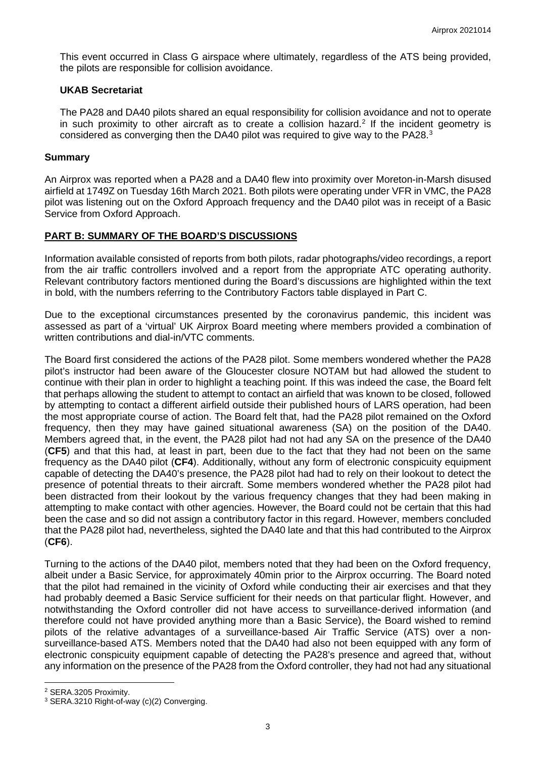This event occurred in Class G airspace where ultimately, regardless of the ATS being provided, the pilots are responsible for collision avoidance.

## **UKAB Secretariat**

The PA28 and DA40 pilots shared an equal responsibility for collision avoidance and not to operate in such proximity to other aircraft as to create a collision hazard.<sup>[2](#page-2-0)</sup> If the incident geometry is considered as converging then the DA40 pilot was required to give way to the PA28.<sup>[3](#page-2-1)</sup>

## **Summary**

An Airprox was reported when a PA28 and a DA40 flew into proximity over Moreton-in-Marsh disused airfield at 1749Z on Tuesday 16th March 2021. Both pilots were operating under VFR in VMC, the PA28 pilot was listening out on the Oxford Approach frequency and the DA40 pilot was in receipt of a Basic Service from Oxford Approach.

# **PART B: SUMMARY OF THE BOARD'S DISCUSSIONS**

Information available consisted of reports from both pilots, radar photographs/video recordings, a report from the air traffic controllers involved and a report from the appropriate ATC operating authority. Relevant contributory factors mentioned during the Board's discussions are highlighted within the text in bold, with the numbers referring to the Contributory Factors table displayed in Part C.

Due to the exceptional circumstances presented by the coronavirus pandemic, this incident was assessed as part of a 'virtual' UK Airprox Board meeting where members provided a combination of written contributions and dial-in/VTC comments.

The Board first considered the actions of the PA28 pilot. Some members wondered whether the PA28 pilot's instructor had been aware of the Gloucester closure NOTAM but had allowed the student to continue with their plan in order to highlight a teaching point. If this was indeed the case, the Board felt that perhaps allowing the student to attempt to contact an airfield that was known to be closed, followed by attempting to contact a different airfield outside their published hours of LARS operation, had been the most appropriate course of action. The Board felt that, had the PA28 pilot remained on the Oxford frequency, then they may have gained situational awareness (SA) on the position of the DA40. Members agreed that, in the event, the PA28 pilot had not had any SA on the presence of the DA40 (**CF5**) and that this had, at least in part, been due to the fact that they had not been on the same frequency as the DA40 pilot (**CF4**). Additionally, without any form of electronic conspicuity equipment capable of detecting the DA40's presence, the PA28 pilot had had to rely on their lookout to detect the presence of potential threats to their aircraft. Some members wondered whether the PA28 pilot had been distracted from their lookout by the various frequency changes that they had been making in attempting to make contact with other agencies. However, the Board could not be certain that this had been the case and so did not assign a contributory factor in this regard. However, members concluded that the PA28 pilot had, nevertheless, sighted the DA40 late and that this had contributed to the Airprox (**CF6**).

Turning to the actions of the DA40 pilot, members noted that they had been on the Oxford frequency, albeit under a Basic Service, for approximately 40min prior to the Airprox occurring. The Board noted that the pilot had remained in the vicinity of Oxford while conducting their air exercises and that they had probably deemed a Basic Service sufficient for their needs on that particular flight. However, and notwithstanding the Oxford controller did not have access to surveillance-derived information (and therefore could not have provided anything more than a Basic Service), the Board wished to remind pilots of the relative advantages of a surveillance-based Air Traffic Service (ATS) over a nonsurveillance-based ATS. Members noted that the DA40 had also not been equipped with any form of electronic conspicuity equipment capable of detecting the PA28's presence and agreed that, without any information on the presence of the PA28 from the Oxford controller, they had not had any situational

<span id="page-2-0"></span><sup>2</sup> SERA.3205 Proximity.

<span id="page-2-1"></span><sup>3</sup> SERA.3210 Right-of-way (c)(2) Converging.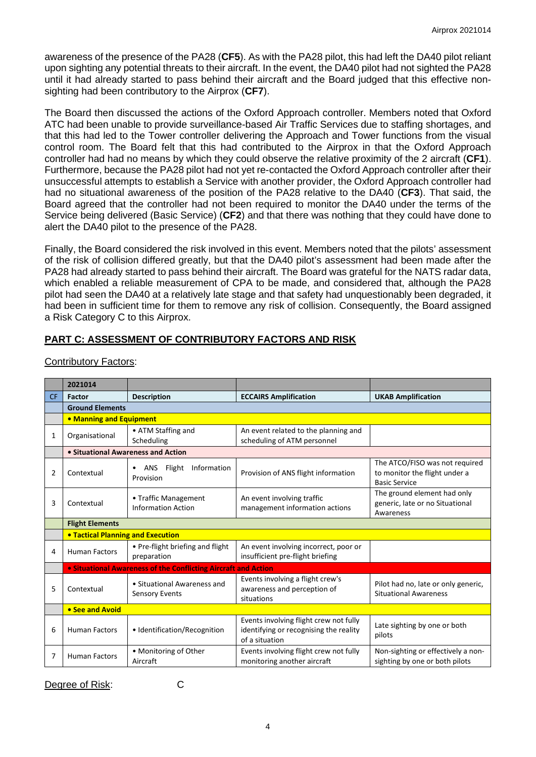awareness of the presence of the PA28 (**CF5**). As with the PA28 pilot, this had left the DA40 pilot reliant upon sighting any potential threats to their aircraft. In the event, the DA40 pilot had not sighted the PA28 until it had already started to pass behind their aircraft and the Board judged that this effective nonsighting had been contributory to the Airprox (**CF7**).

The Board then discussed the actions of the Oxford Approach controller. Members noted that Oxford ATC had been unable to provide surveillance-based Air Traffic Services due to staffing shortages, and that this had led to the Tower controller delivering the Approach and Tower functions from the visual control room. The Board felt that this had contributed to the Airprox in that the Oxford Approach controller had had no means by which they could observe the relative proximity of the 2 aircraft (**CF1**). Furthermore, because the PA28 pilot had not yet re-contacted the Oxford Approach controller after their unsuccessful attempts to establish a Service with another provider, the Oxford Approach controller had had no situational awareness of the position of the PA28 relative to the DA40 (**CF3**). That said, the Board agreed that the controller had not been required to monitor the DA40 under the terms of the Service being delivered (Basic Service) (**CF2**) and that there was nothing that they could have done to alert the DA40 pilot to the presence of the PA28.

Finally, the Board considered the risk involved in this event. Members noted that the pilots' assessment of the risk of collision differed greatly, but that the DA40 pilot's assessment had been made after the PA28 had already started to pass behind their aircraft. The Board was grateful for the NATS radar data, which enabled a reliable measurement of CPA to be made, and considered that, although the PA28 pilot had seen the DA40 at a relatively late stage and that safety had unquestionably been degraded, it had been in sufficient time for them to remove any risk of collision. Consequently, the Board assigned a Risk Category C to this Airprox.

# **PART C: ASSESSMENT OF CONTRIBUTORY FACTORS AND RISK**

|                | 2021014                                                        |                                                   |                                                                                                    |                                                                                         |  |  |  |  |  |  |  |  |
|----------------|----------------------------------------------------------------|---------------------------------------------------|----------------------------------------------------------------------------------------------------|-----------------------------------------------------------------------------------------|--|--|--|--|--|--|--|--|
| <b>CF</b>      | Factor                                                         | <b>Description</b>                                | <b>ECCAIRS Amplification</b>                                                                       | <b>UKAB Amplification</b>                                                               |  |  |  |  |  |  |  |  |
|                | <b>Ground Elements</b>                                         |                                                   |                                                                                                    |                                                                                         |  |  |  |  |  |  |  |  |
|                | • Manning and Equipment                                        |                                                   |                                                                                                    |                                                                                         |  |  |  |  |  |  |  |  |
| 1              | • ATM Staffing and<br>Organisational<br>Scheduling             |                                                   | An event related to the planning and<br>scheduling of ATM personnel                                |                                                                                         |  |  |  |  |  |  |  |  |
|                | • Situational Awareness and Action                             |                                                   |                                                                                                    |                                                                                         |  |  |  |  |  |  |  |  |
| $\overline{2}$ | Contextual                                                     | Information<br>ANS<br>Flight<br>Provision         | Provision of ANS flight information                                                                | The ATCO/FISO was not required<br>to monitor the flight under a<br><b>Basic Service</b> |  |  |  |  |  |  |  |  |
| 3              | Contextual                                                     | • Traffic Management<br><b>Information Action</b> | An event involving traffic<br>management information actions                                       | The ground element had only<br>generic, late or no Situational<br>Awareness             |  |  |  |  |  |  |  |  |
|                | <b>Flight Elements</b>                                         |                                                   |                                                                                                    |                                                                                         |  |  |  |  |  |  |  |  |
|                | <b>. Tactical Planning and Execution</b>                       |                                                   |                                                                                                    |                                                                                         |  |  |  |  |  |  |  |  |
| 4              | <b>Human Factors</b>                                           | • Pre-flight briefing and flight<br>preparation   | An event involving incorrect, poor or<br>insufficient pre-flight briefing                          |                                                                                         |  |  |  |  |  |  |  |  |
|                | • Situational Awareness of the Conflicting Aircraft and Action |                                                   |                                                                                                    |                                                                                         |  |  |  |  |  |  |  |  |
| 5              | Contextual                                                     | • Situational Awareness and<br>Sensory Events     | Events involving a flight crew's<br>awareness and perception of<br>situations                      | Pilot had no, late or only generic,<br><b>Situational Awareness</b>                     |  |  |  |  |  |  |  |  |
|                | • See and Avoid                                                |                                                   |                                                                                                    |                                                                                         |  |  |  |  |  |  |  |  |
| 6              | <b>Human Factors</b>                                           | · Identification/Recognition                      | Events involving flight crew not fully<br>identifying or recognising the reality<br>of a situation | Late sighting by one or both<br>pilots                                                  |  |  |  |  |  |  |  |  |
| 7              | • Monitoring of Other<br><b>Human Factors</b><br>Aircraft      |                                                   | Events involving flight crew not fully<br>monitoring another aircraft                              | Non-sighting or effectively a non-<br>sighting by one or both pilots                    |  |  |  |  |  |  |  |  |

Contributory Factors:

Degree of Risk: C